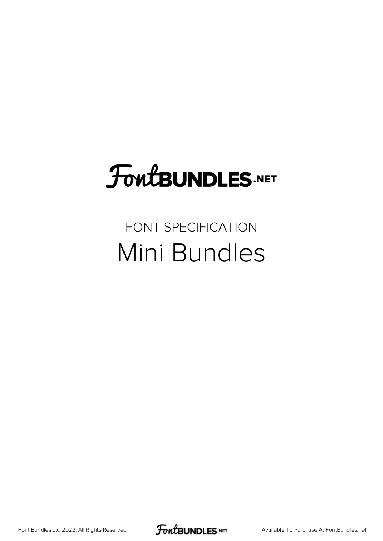# **FoutBUNDLES.NET**

## FONT SPECIFICATION Mini Bundles

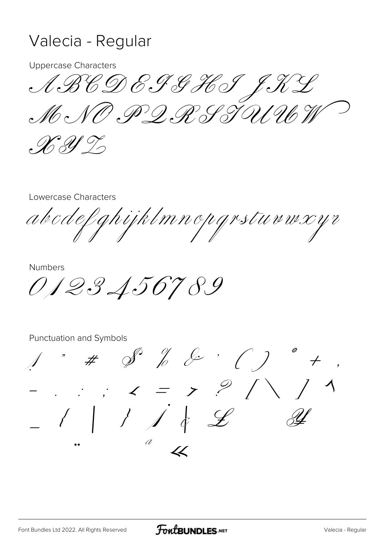#### Valecia - Regular

**Uppercase Characters** 

ABCDEPSHSJNY  $\mathscr{M}\circ\mathscr{N}\mathscr{P}\mathscr{D}\mathscr{M}\mathscr{S}\mathscr{N}\mathscr{N}\mathscr{N}\mathscr{N}$ 

 $\mathscr{X}$  If I

Lowercase Characters

abcdefghijklmnopgrstuvwxyr

**Numbers** 

0123456789

 $\overrightarrow{a}$  #  $\overrightarrow{b}$  &  $\overrightarrow{c}$  ( )  $\therefore$   $\therefore$   $\lt$  =  $\gt$   $\frac{9}{11}$  $-$  1 1 1 4 2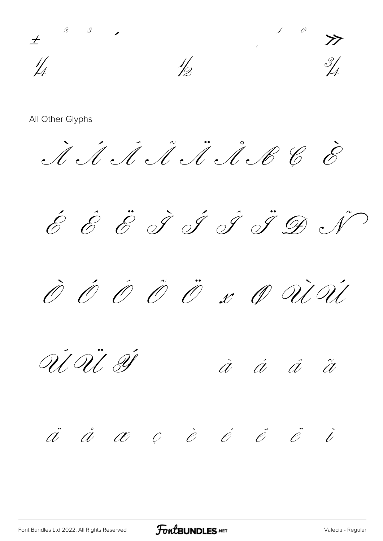$\frac{1}{4}$  $\frac{1}{2}$ 

 $\dot{\mathcal{A}}\dot{\mathcal{A}}\dot{\mathcal{A}}\dot{\mathcal{A}}\dot{\mathcal{A}}\dot{\mathcal{A}}\dot{\mathcal{B}}\dot{\mathcal{C}}$ 

É É Ë Í Í Í Í Í D N

 $\hat{\mathscr{O}}$   $\hat{\mathscr{O}}$   $\hat{\mathscr{O}}$   $\hat{\mathscr{O}}$   $x$   $\hat{\mathscr{O}}$   $\hat{\mathscr{O}}\hat{\mathscr{U}}$ 

Ù U SI

 $\dot{a}$   $\dot{a}$   $\ddot{a}$   $\ddot{a}$ 

 $\ddot{a}$   $\dot{a}$   $\alpha$   $c$   $\dot{e}$   $\dot{e}$   $\ddot{e}$   $\ddot{e}$   $\ddot{e}$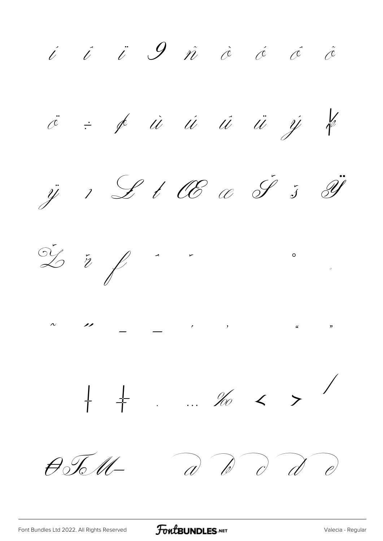i i i 9 ñ à á á å  $\ddot{\mathscr{C}}$  =  $\oint$  ii ii ii ij k ij 1 L l OE c J 5 I  $rac{1}{2}$   $\frac{1}{2}$  $\begin{array}{ccccccccccc} \wedge & & & \wedge & & & & \wedge & & & \wedge & & & \wedge & & & \wedge & & & \wedge & & & \wedge & & & \wedge & & & \wedge & & & \wedge & & & \wedge & & & \wedge & & & \wedge & & & \wedge & & & \wedge & & & \wedge & & & \wedge & & & \wedge & & & \wedge & & & \wedge & & & \wedge & & & \wedge & & & \wedge & & & \wedge & & & \wedge & & & \wedge & & & \wedge & & & \wedge & & & \wedge & & & \wedge & & & \wedge & & & \wedge & & & \wedge & & & \wedge & & &$  $\frac{1}{1}$   $\frac{1}{1}$  ... no < > /  $a^{\prime}$   $b^{\prime}$   $c^{\prime}$   $d^{\prime}$   $e^{\prime}$  $\theta$ %M-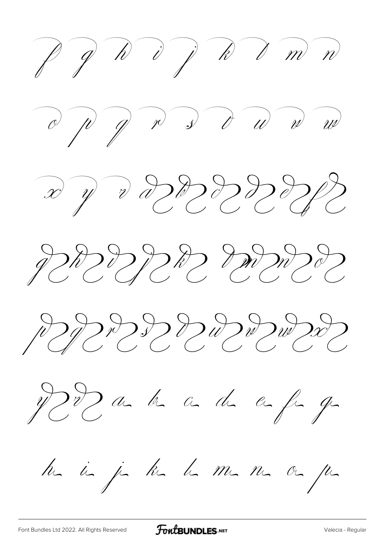$ppn$  d  $ppn$  m  $n$  $x \nabla v$  a dependence JORODD DROWOOD PPPPDDDDDWDXD JSDahad angly ha in ja ka ha ma ma oa pa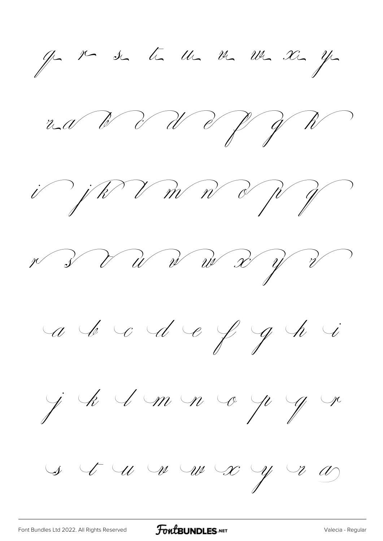ge ve se te un me un se ye ra V V V V Y W i jk V m n d p y r 3 V W W W V V V a le c d e f g h i j k 1 m n o p g r  $\begin{array}{ccccccc} \mathcal{S} & \mathcal{F} & \mathcal{U} & \mathcal{W} & \mathcal{W} & \mathcal{X} & \mathcal{Y} & \mathcal{V} & \mathcal{W} \end{array}$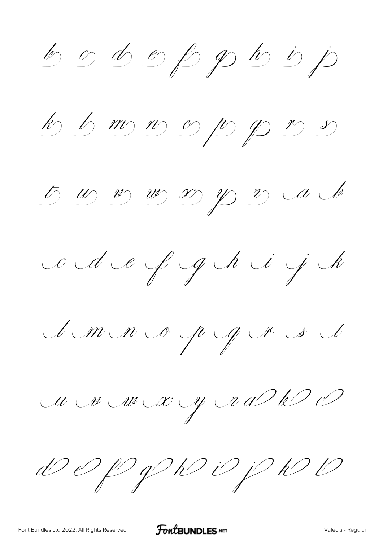b o d oppb j

k 6 m n op p n s

5 00 00 00 00 00 00 00

ce de y geheid jek

Sm nop grest

M M M X Y R D W D

DOPPDDPPDD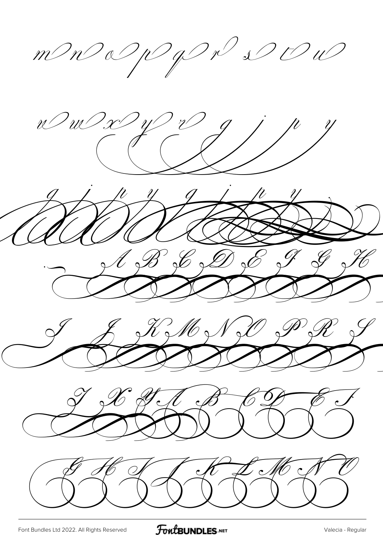mmonday par De  $\overline{\mathscr{U}}'$  $\overline{\mathcal{U}}$  $\mathcal{C}$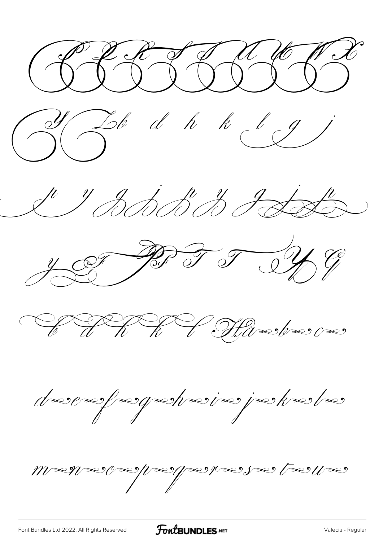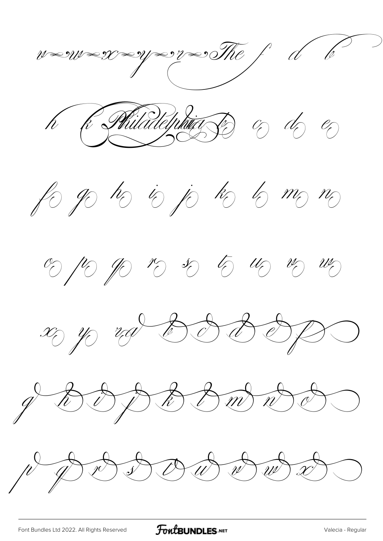$\gamma$  $\mathscr{W} \text{ is } \mathscr{W} \text{ is } \mathscr{W}$ Philadelphia  $\%$  do  $\%$  $\mathcal{P}$ h R for you ho is jo ho bo mo mo  $\frac{1}{\sqrt{2}}$  (1)  $\frac{1}{\sqrt{2}}$  (1)  $\frac{1}{\sqrt{2}}$  (1)  $\frac{1}{\sqrt{2}}$  (1) (1) (1) x y rad 8888 BBmd  $\overrightarrow{n}$  $\sqrt{U}$  $\setminus \overline{\ell}$ DOWE  $\overrightarrow{w}$  $\widehat{r}$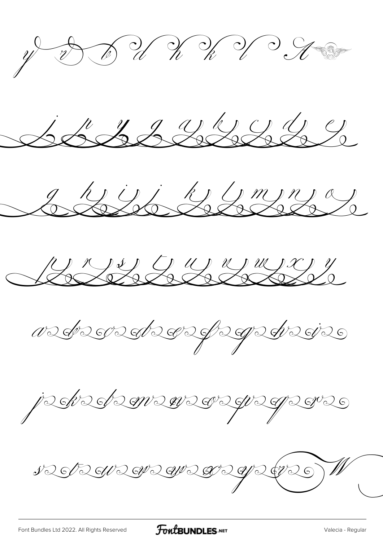$y = 0$  of  $y = k$  of  $y = 0$ SSSSSSSSS Sessibbert Rue Cumere Nederstederfegedrie je kedemenegraper NES RENDEN DEN 2 GRES W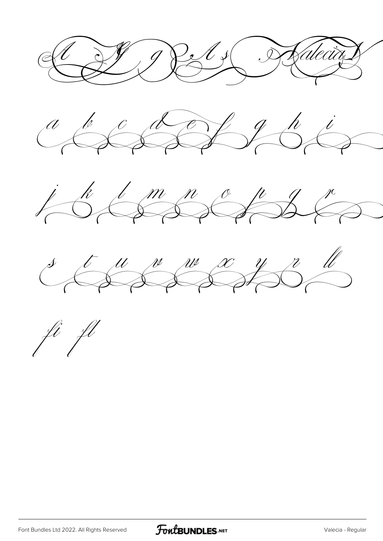19 Per 1 J Kalecia







ft fl

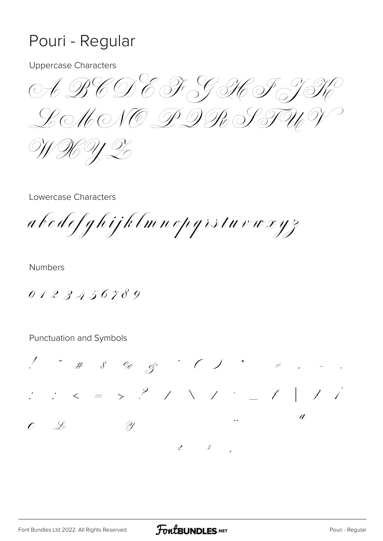### Pouri - Regular

**Uppercase Characters** 

A BCDE F GH F J HOMONO DDR PTUP KY L

Lowercase Characters

abedefghijklmnopgrstuvwxyz

**Numbers** 

0123456789

 $\begin{array}{cccccccccccccc} \sqrt{100} & \pi^{\prime} & \pi^{\prime} & \pi^{\prime} & \pi^{\prime} & \pi^{\prime} & \pi^{\prime} & \pi^{\prime} & \pi^{\prime} & \pi^{\prime} & \pi^{\prime} & \pi^{\prime} & \pi^{\prime} & \pi^{\prime} & \pi^{\prime} & \pi^{\prime} & \pi^{\prime} & \pi^{\prime} & \pi^{\prime} & \pi^{\prime} & \pi^{\prime} & \pi^{\prime} & \pi^{\prime} & \pi^{\prime} & \pi^{\prime} & \pi^{\prime} & \pi^{\prime} & \pi^{\prime} & \pi^{\prime} & \pi^{\prime}$  $\therefore$   $\leq$  =  $\geq$   $?$  / \  $\mathcal{L}$  and  $\mathcal{L}$  and  $\mathcal{L}$  and  $\mathcal{L}$ a  $c$   $\frac{6}{5}$  $\mathscr{D}_{\mathscr{L}}$  $\overline{\mathcal{S}}$  $\mathscr{Z}$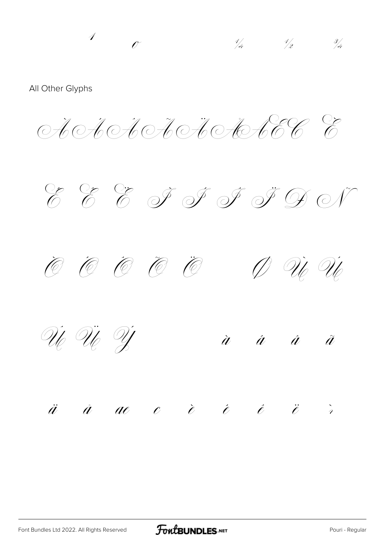$\overline{\mathcal{A}}$  $\frac{1}{4}$   $\frac{1}{2}$   $\frac{3}{4}$  $\mathcal{C}$ All Other Glyphs A.A.CHOROHOHOGECCC D Ù Ù @ @ @ @ @ Ûe Ûe Ŷ

#### $\ddot{a}$   $\dot{a}$  acc  $\ddot{c}$   $\dot{c}$   $\ddot{c}$   $\ddot{c}$   $\ddot{c}$

 $\dot{a}$   $\dot{a}$   $\dot{a}$ 

 $\tilde{a}$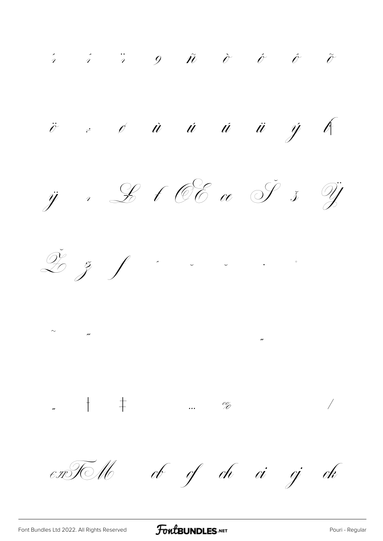$\begin{array}{ccccccccccccc} \hat{i} & \hat{i} & \hat{i} & \hat{j} & \hat{k} & \hat{0} & \hat{0} & \hat{0} & \hat{0} & \hat{0} \end{array}$  $\ddot{o}$   $\dot{c}$   $\dot{a}$   $\dot{u}$   $\dot{u}$   $\ddot{u}$   $\dot{y}$  or  $\ddot{y}$ , Let OE or  $\check{y}$   $\check{y}$  $\tilde{\mathcal{L}}$   $\tilde{z}$   $f$   $z$   $z$   $z$   $z$  $\sim$   $\frac{1}{2}$  $\overline{\phantom{a}}$ ob of oh oi oj ok  $\epsilon$ TO U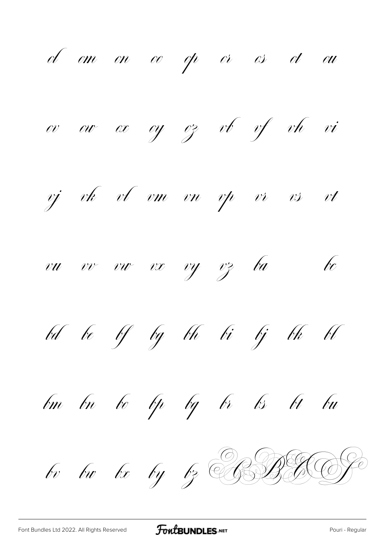of om on oo op or os ot ou oy oz vb vf vh vi  $ov - cov - cv$ vj vk vl vm vn vp vr  $vt$  $\overline{v}$  $\sqrt{c}$ vu vv vu vx vy vz ba bd be bf bg bh bi bj bk bl bo bp bg br bs bt bu bm bn bv bu bx by bz CBBBCCP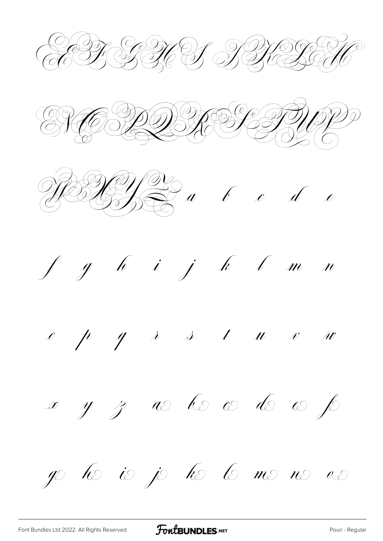KHE SAN DS RELE  $\frac{d}{dx} \frac{d}{dx} \frac{d}{dx} \frac{d}{dx} \frac{d}{dx}$  $f$   $g$   $h$   $i$   $j$   $k$   $l$   $m$   $n$  $\begin{array}{cccccccccccccc} \rho & p & q & \lambda & \lambda & t & u & v & w \end{array}$ x y z as lo co do co p go ho io jo ho lo mo no ao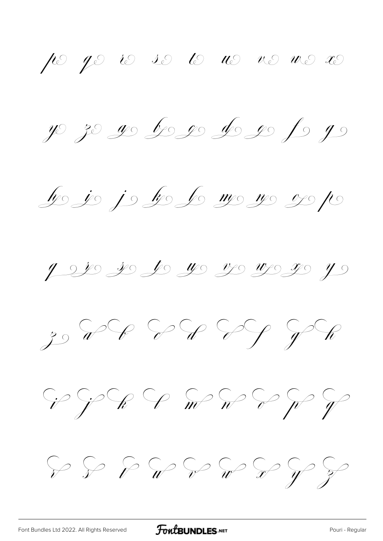$\int$   $\infty$   $\int$   $\infty$   $\infty$   $\int$   $\infty$   $\int$   $\infty$   $\int$   $\infty$   $\int$ y 30 g b g de g p he je je ke le me ne ose pe 9 220 20 20 40 40 42 42 4 GRG GRG SON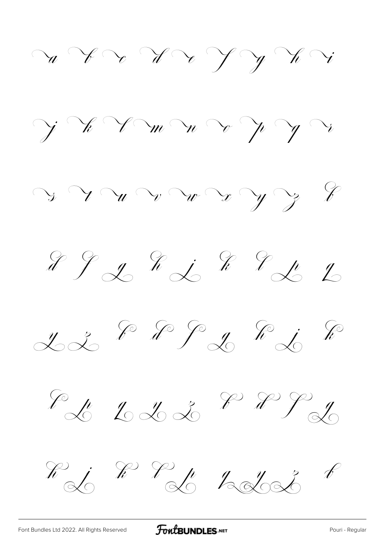$\alpha$  V v V V J V V  $\gamma \times \gamma$  m n v p y v  $y \gamma w \gamma w \gamma x \gamma y \gamma$  $2222$  $2288992828$ Ed 223 P P J Ri RP L LLI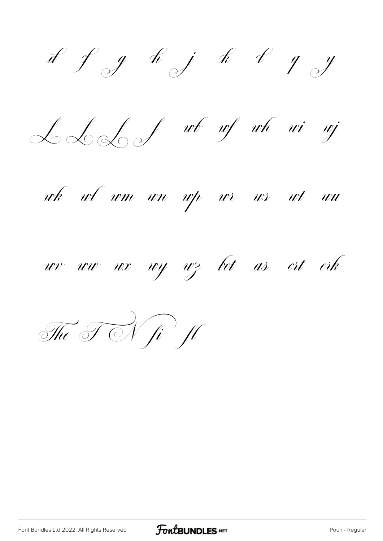of g h j k s g y

LLS f wb wf wh wi wj

wh wl wm wn wp wr ws wt wu



The TN fi fl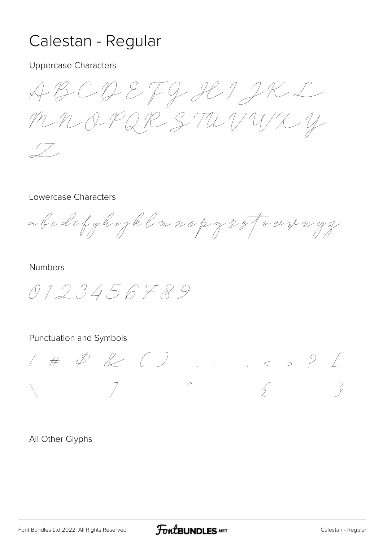### Calestan - Regular

Uppercase Characters

ABCDEFGHIJKL MNOPQR STUVWX Y Z

#### Lowercase Characters

abcdefghijklmnopqrstuvwxyz

#### Numbers

0123456789

#### Punctuation and Symbols

! # \$ & ( ) , . : ; < > ? [ \ ] ^ { }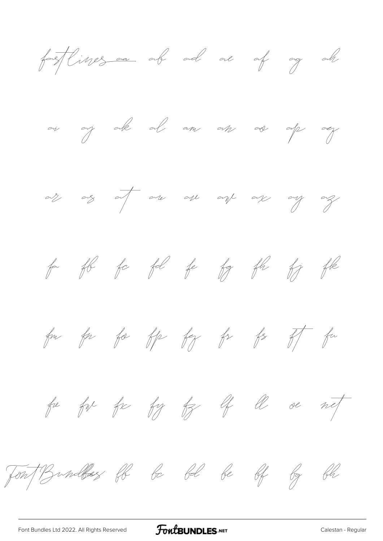fortflinges are all are of ag all





fa fle fa fel fe fg fle fj fle

for for for for for for  $f^2$  for  $f^2$ 

for for for for top of the or not



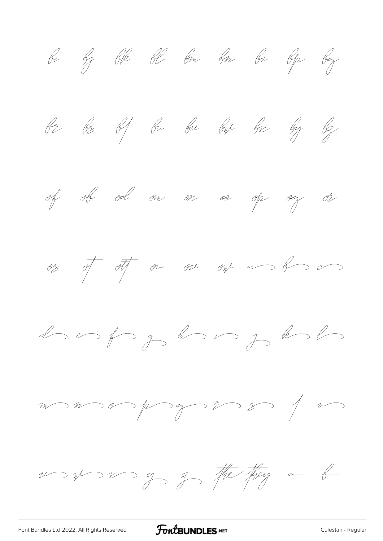bi bj ble bl bm bn be ble bez be be of bu bu bu be by by of ob od on on oo op og os  $\frac{\partial z}{\partial t}$  of  $\frac{\partial t}{\partial t}$  on one of  $\frac{\partial y}{\partial x}$ do os for gran in je kolo  $m > n > 0 \Rightarrow p > 3 > 3 > 7 \Rightarrow m > 3 > 7$ us us us of 3 the they a b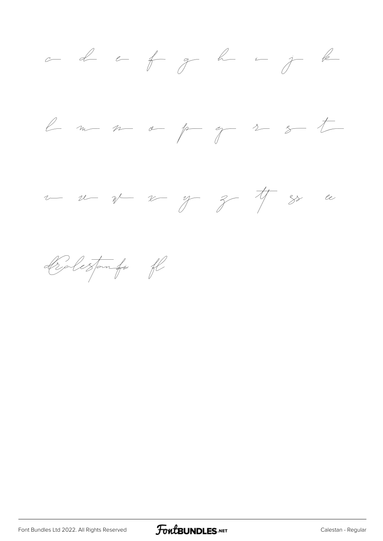





Beleztomfi fl

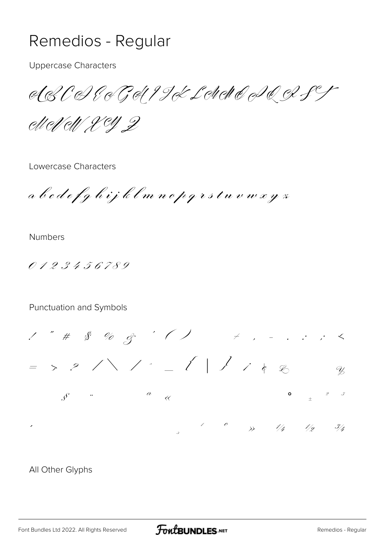### Remedios - Regular

**Uppercase Characters** 

eLECHECHIJEL NACIOS

elleNell Xey Z

Lowercase Characters

a b c d e f g h i j k l m n o p g r s t u v w x y z

**Numbers** 

0123456789

#### Punctuation and Symbols

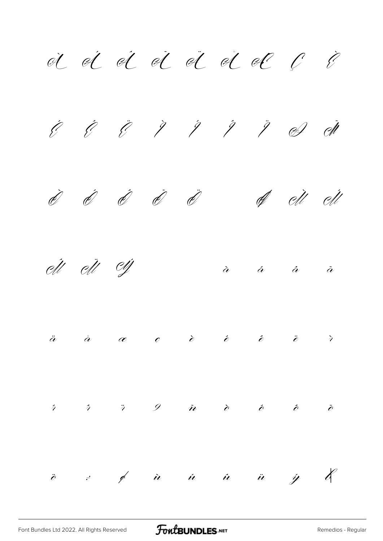À Á Â Ã Ä Å Æ Ç È É Ê Ë Ì Í Î Ï Ð Ñ Ò Ó Ô Õ Ö Ø Ù Ú Û Ü Ý à á â ã ä å æ ç è é ê ë ì í î ï ð ñ ò ó ô õ ö ÷ ø ù ú û ü ý þ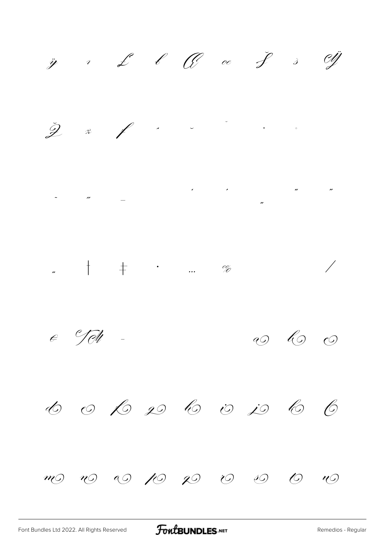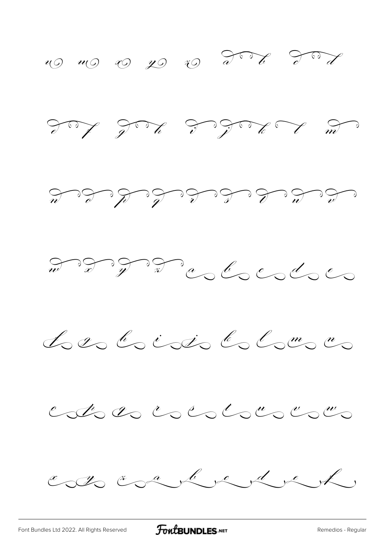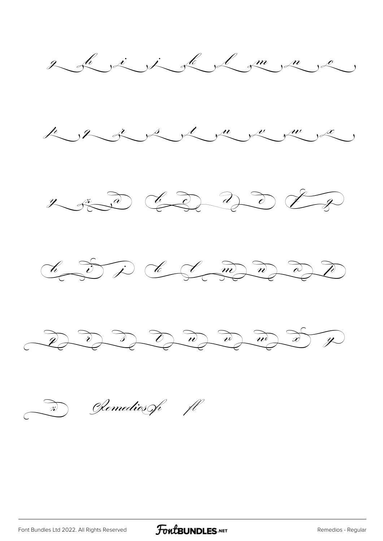

(Remedios of fl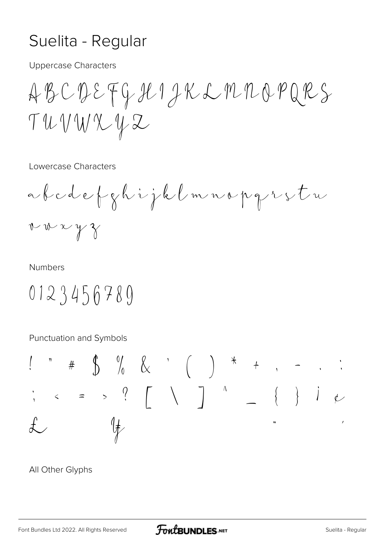### Suelita - Regular

**Uppercase Characters** 

ABCDEFGHIJKLMMOPQRS TUVWXYZ

Lowercase Characters

abodefghijklmnopgrestu  $v w x y z$ 

#### **Numbers**

## 0123456789

Punctuation and Symbols

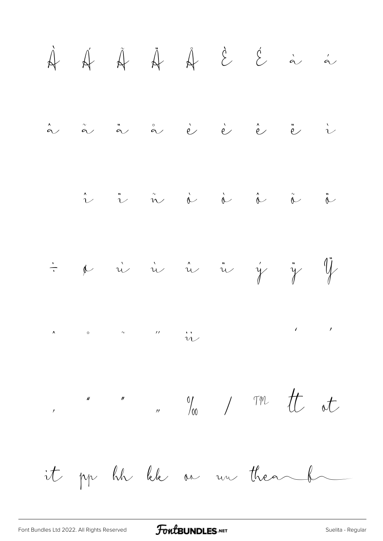$\bigcup$  $\ddot{e}$  $\hat{a}$  $\overrightarrow{e}$  $\hat{e}$  $\overset{''}{\alpha}$  $\overset{\circ}{\alpha}$  $\vec{e}$  $\overset{\sim}{\alpha}$  $\ddot{\hat{c}}$  $\begin{matrix} 1 & 1 \\ 1 & 1 \end{matrix}$  $\hat{\alpha}$  $\hat{\mathcal{U}}$  $\dot{y}$   $\ddot{y}$   $\ddot{y}$ & ii ii ii ii  $\frac{1}{\sqrt{2}}$  $\begin{array}{ccc} \begin{array}{ccccccc} \wedge & & & \circ & & & \circ & & & \wedge & & & \wedge \end{array} & & & & & \wedge & & & \wedge & & \wedge \end{array} & & & & & \wedge & & & \wedge & & \wedge \end{array}$  $\label{eq:2} \begin{array}{ccccc} \mathcal{E} & \mathcal{E} & \mathcal{E} & \mathcal{E} \end{array}$ , " "  $\frac{1}{2}$  "  $\frac{1}{2}$  "  $\frac{1}{2}$  "  $\frac{1}{2}$  "  $\frac{1}{2}$  "  $\frac{1}{2}$  "  $\frac{1}{2}$  "  $\frac{1}{2}$  "  $\frac{1}{2}$  "  $\frac{1}{2}$  "  $\frac{1}{2}$  "  $\frac{1}{2}$  "  $\frac{1}{2}$  "  $\frac{1}{2}$  "  $\frac{1}{2}$  "  $\frac{1}{2}$  "  $\frac{1}{2}$  "  $\frac{1}{2}$  " it pp hh lek as un thea b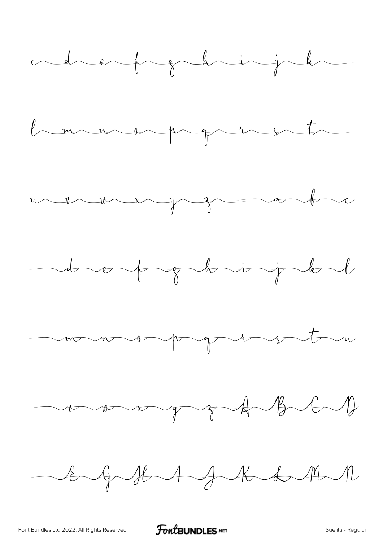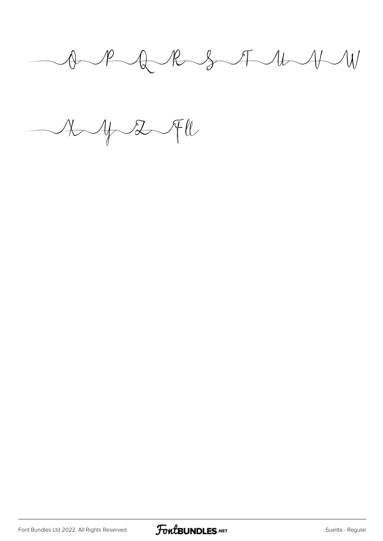$A$   $A$   $B$   $S$   $A$   $A$ 

 $A\rightarrow Z\rightarrow W$ 

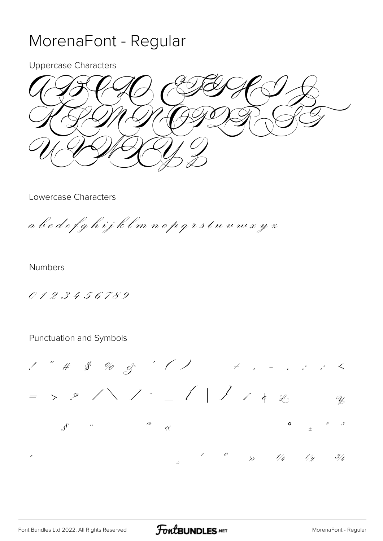### MorenaFont - Regular

**Uppercase Characters** 

**Lowercase Characters** 

a b c d e f g h i j k l m n o p q r s t u v w x y z

**Numbers** 

0123456789

 $1''$  #  $8'$  % & ' ( )  $\neq$  , . . . .  $\neq$  $\Rightarrow P \wedge \wedge P = P \wedge P$  $Q$  $\mathcal{S}$   $\blacksquare$  $\overline{a}$  $\mathscr{S}$  $\overline{\langle}$  $\frac{1}{2}$   $\frac{3}{4}$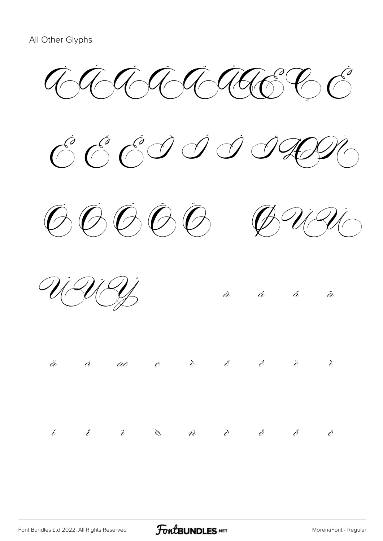$\widehat{\mathcal{A}}$  of  $\widehat{\mathcal{A}}$  and  $\widehat{\mathcal{C}}$ 







|  | U U Y                                                                         |  |  | $\dot{a}$ $\dot{a}$ $\dot{a}$ $\ddot{a}$ |  |
|--|-------------------------------------------------------------------------------|--|--|------------------------------------------|--|
|  | $\ddot{a}$ $\dot{a}$ ae c $\dot{e}$ $\dot{e}$ $\ddot{e}$ $\ddot{e}$ $\dot{e}$ |  |  |                                          |  |
|  |                                                                               |  |  |                                          |  |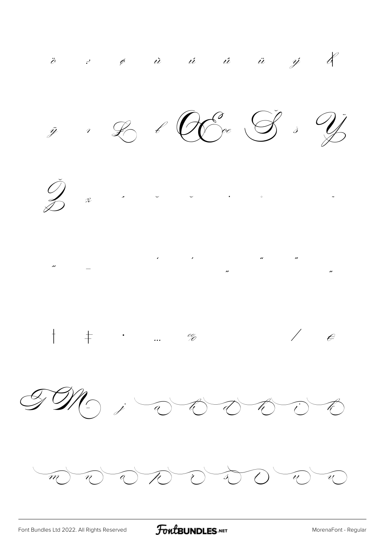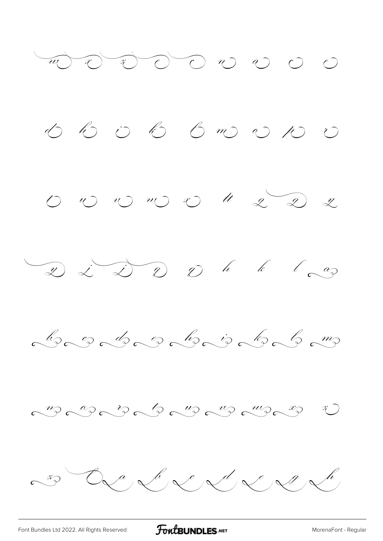

[Font Bundles Ltd 2022. All Rights Reserved](https://fontbundles.net/) **FoutBUNDLES.NET** [MorenaFont - Regular](https://fontbundles.net/)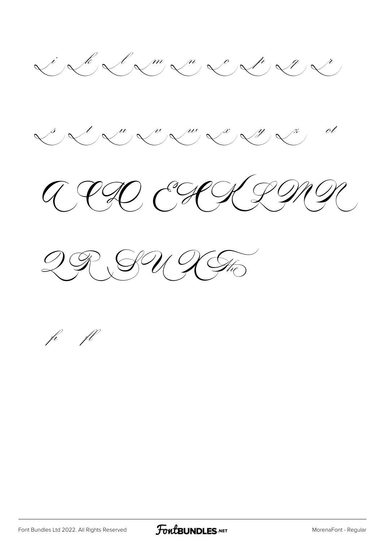







fi fl

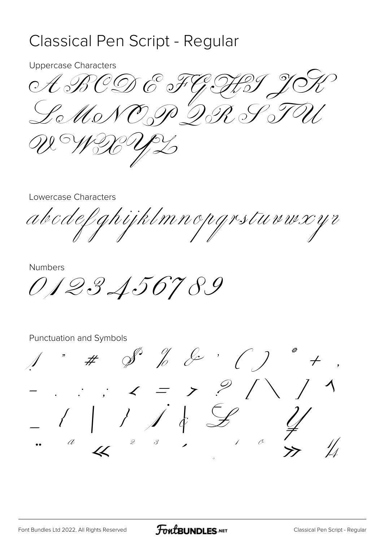### Classical Pen Script - Regular

**Uppercase Characters** 

ARCDE F HQY 9  $\mathscr{L}\circ\mathscr{M}\circ\mathscr{N}$ でっつ うっとっとっ

Lowercase Characters

ghijklmnopgrstuvwxyr abodef

**Numbers** 

0123456789

 $\mathscr{S}$   $\frac{\partial}{\partial}$   $\mathscr{E}$   $\cdot$  ( )  $#$  $\therefore$   $\therefore$   $\angle$  = >  $\frac{9}{1}$  $\left\{\begin{array}{c} \begin{array}{c} \begin{array}{c} \end{array}\\ \begin{array}{c} \end{array}\right. & \begin{array}{c} \end{array}\right. & \begin{array}{c} \end{array}\left. \begin{array}{c} \end{array}\left\{ \begin{array}{c} \begin{array}{c} \end{array}\right. & \begin{array}{c} \end{array}\left\{ \begin{array}{c} \end{array}\right. & \begin{array}{c} \end{array}\left\{ \begin{array}{c} \end{array}\right. & \begin{array}{c} \end{array}\left\{ \begin{array}{c} \end{array}\right. & \begin{array}{c} \end{array}\left\{ \begin{array}{$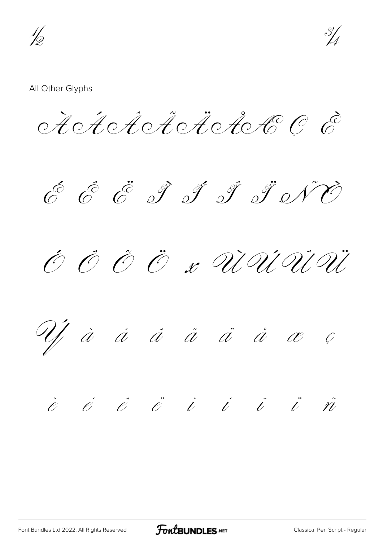16



#### All Other Glyphs

Actot Actote C E

6 6 5 9 9 9 9 9 0 70

O O O O x UNUU

Uj à á á å ä å å æ ç

## $\dot{e}$   $\dot{e}$   $\ddot{e}$   $\ddot{e}$   $\dot{v}$   $\dot{v}$   $\ddot{v}$   $\ddot{v}$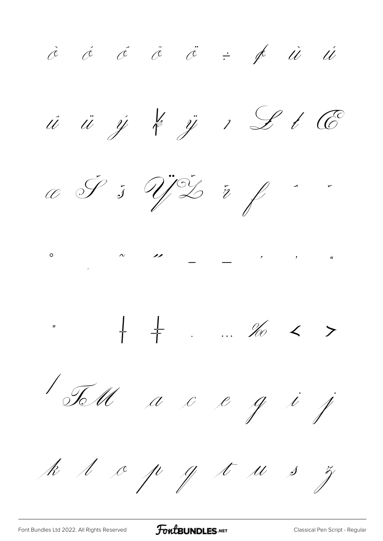$\dot{c}$   $\dot{c}$   $\ddot{c}$   $\ddot{c}$   $\dot{c}$   $\dot{c}$   $\dot{c}$   $\dot{d}$   $\dot{u}$   $\dot{u}$ ú ü ý k ÿ 1 L t C C J 5 Y 2 7 1 + + . . % < > 1 TM a c e g i j k l c p g t u s z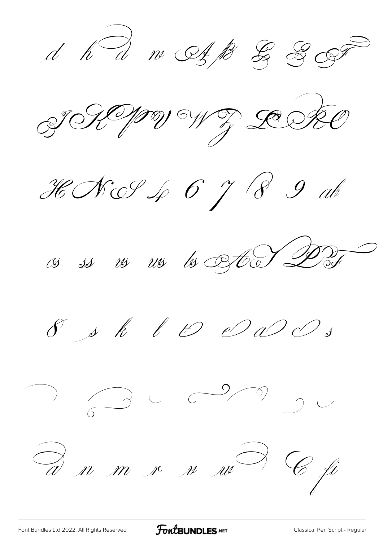$d$   $h$   $d$   $m$   $\mathcal{O}_{f}$   $k$   $\mathcal{G}_{f}$   $\mathcal{G}_{f}$ THIM WI DESKO HNS46 $\gamma$ 89ab  $\omega$  is  $\omega$  us to steel DDF  $\int s\,k$   $\int\mathcal{D}\,d\mathcal{D}\,s$  $\begin{array}{ccc} \mathbf{1} & \mathbf{1} & \mathbf{1} & \mathbf{1} & \mathbf{1} & \mathbf{1} & \mathbf{1} & \mathbf{1} & \mathbf{1} & \mathbf{1} & \mathbf{1} & \mathbf{1} & \mathbf{1} & \mathbf{1} & \mathbf{1} & \mathbf{1} & \mathbf{1} & \mathbf{1} & \mathbf{1} & \mathbf{1} & \mathbf{1} & \mathbf{1} & \mathbf{1} & \mathbf{1} & \mathbf{1} & \mathbf{1} & \mathbf{1} & \mathbf{1} & \mathbf{1} & \mathbf{1} & \mathbf$  $\partial$  n m r n m) C fi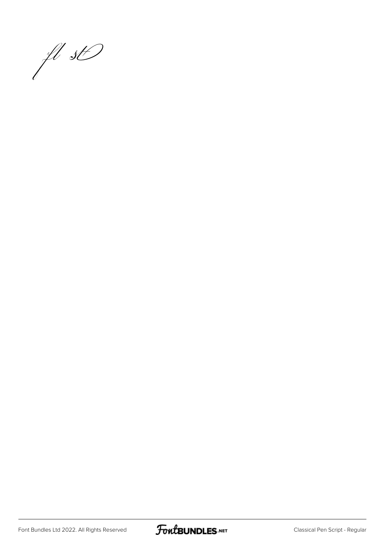

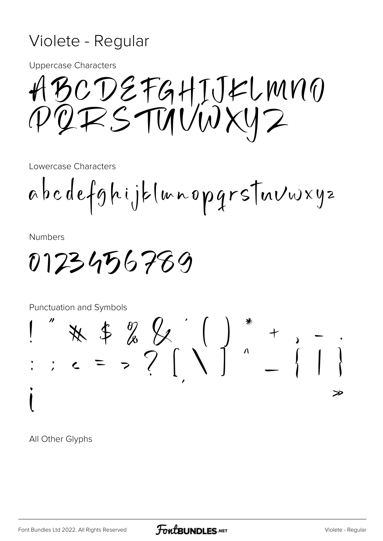### Violete - Regular

**Uppercase Characters** 

BCDEFGHIJKLMNO QRSTUUWXY2

Lowercase Characters

abcdefghijklmnopgrstnvwxyz

**Numbers** 

0123456789

Punctuation and Symbols  $*$  \* \* \$ % & ( ) \* + , - ;<br>; c = > ? ( \ ) \* + , - ; ≫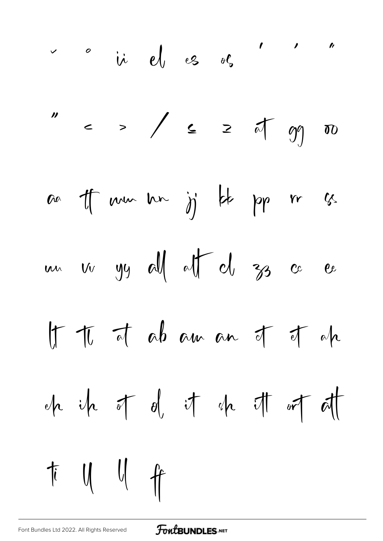$$
" \begin{array}{rcl}\n\therefore & \circ & \circ \\ \n\text{if } & \circ \\ \n\end{array}
$$
\n
$$
" \begin{array}{rcl}\n\text{if } & \circ \\ \n\end{array}
$$
\n
$$
x \begin{array}{rcl}\n\text{if } & \circ \\ \n\end{array}
$$
\n
$$
x \begin{array}{rcl}\n\text{if } & \circ \\ \n\end{array}
$$
\n
$$
x \begin{array}{rcl}\n\text{if } & \circ \\ \n\end{array}
$$
\n
$$
x \begin{array}{rcl}\n\text{if } & \circ \\ \n\end{array}
$$
\n
$$
x \begin{array}{rcl}\n\text{if } & \circ \\ \n\end{array}
$$
\n
$$
x \begin{array}{rcl}\n\text{if } & \circ \\ \n\end{array}
$$
\n
$$
x \begin{array}{rcl}\n\text{if } & \circ \\ \n\end{array}
$$
\n
$$
x \begin{array}{rcl}\n\text{if } & \circ \\ \n\end{array}
$$
\n
$$
x \begin{array}{rcl}\n\text{if } & \circ \\ \n\end{array}
$$
\n
$$
x \begin{array}{rcl}\n\text{if } & \circ \\ \n\end{array}
$$
\n
$$
x \begin{array}{rcl}\n\text{if } & \circ \\ \n\end{array}
$$
\n
$$
x \begin{array}{rcl}\n\text{if } & \circ \\ \n\end{array}
$$
\n
$$
x \begin{array}{rcl}\n\text{if } & \circ \\ \n\end{array}
$$
\n
$$
x \begin{array}{rcl}\n\text{if } & \circ \\ \n\end{array}
$$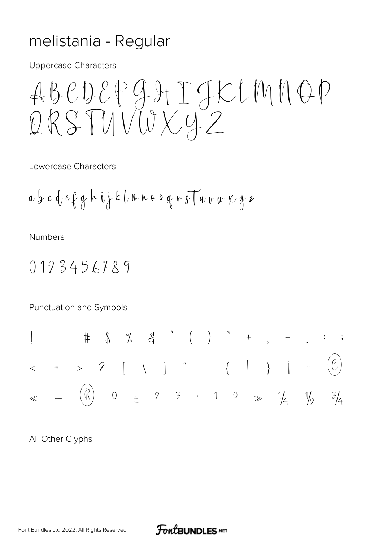### melistania - Regular

**Uppercase Characters** 

Lowercase Characters

$$
a\,b\,c\,d\,e\,f\,g\,h\,ij\,f\,l\,m\,h\,\epsilon\,p\,g\,r\,g\,\overline{\uparrow}u\,v\,w\,\kappa\,g\,z
$$

**Numbers** 

0123456789

Punctuation and Symbols

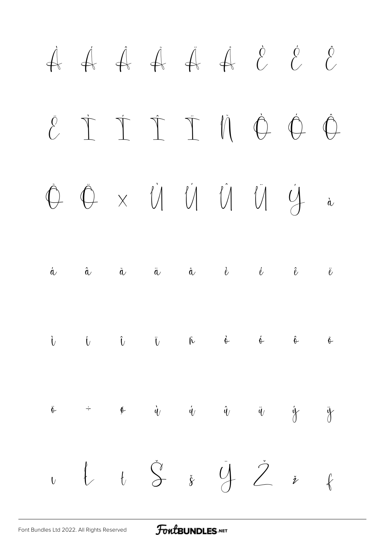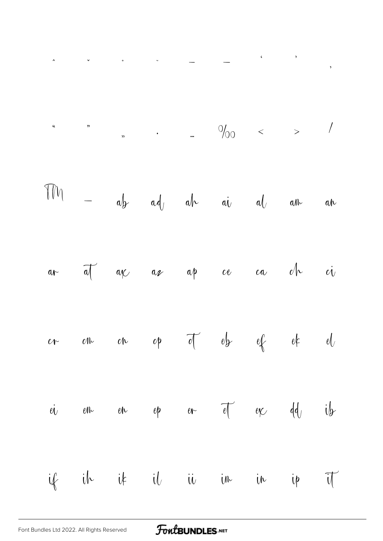$\begin{array}{ccccccccccccc} \multicolumn{2}{c}{} & & & & & & & \multicolumn{2}{c} & & & & \multicolumn{2}{c} & & & \multicolumn{2}{c} & & & \multicolumn{2}{c} & & & \multicolumn{2}{c} & & & \multicolumn{2}{c} & & & \multicolumn{2}{c} & & & \multicolumn{2}{c} & & & \multicolumn{2}{c} & & & \multicolumn{2}{c} & & & \multicolumn{2}{c} & & & \multicolumn{2}{c} & & & \multicolumn{2}{c} & & & \multicolumn{2}{c} & & & \multicolumn{2}{c} & & & \multicolumn{2}{c} & & &$ 

 $\hat{\mathbf{r}}$ 

 $\ddot{\phantom{0}}$ 

 $\ddot{\phantom{0}}$ 

 $\ddot{\sim}$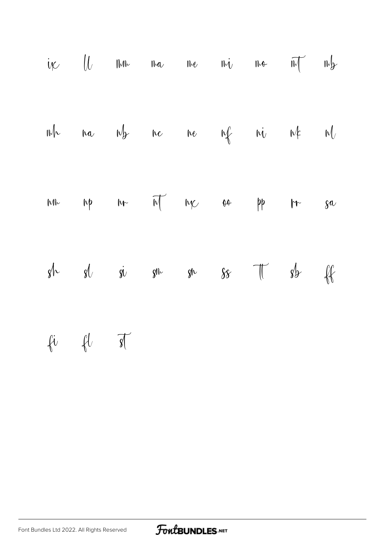ff fi fl st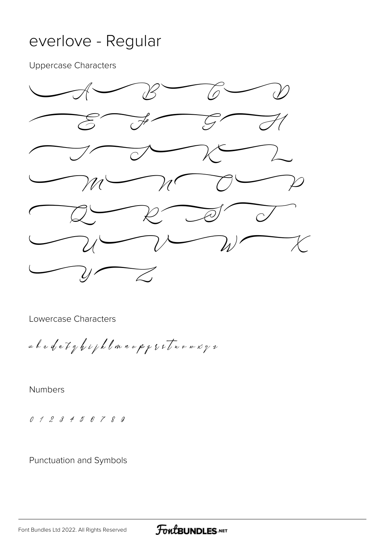#### everlove - Regular

Uppercase Characters



Lowercase Characters

abcdefghijklmnopqrstuvwxyz

Numbers

0123456789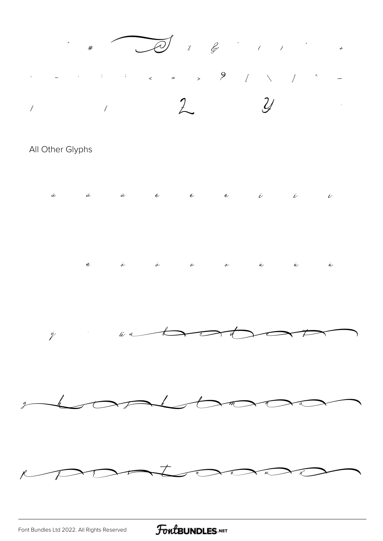